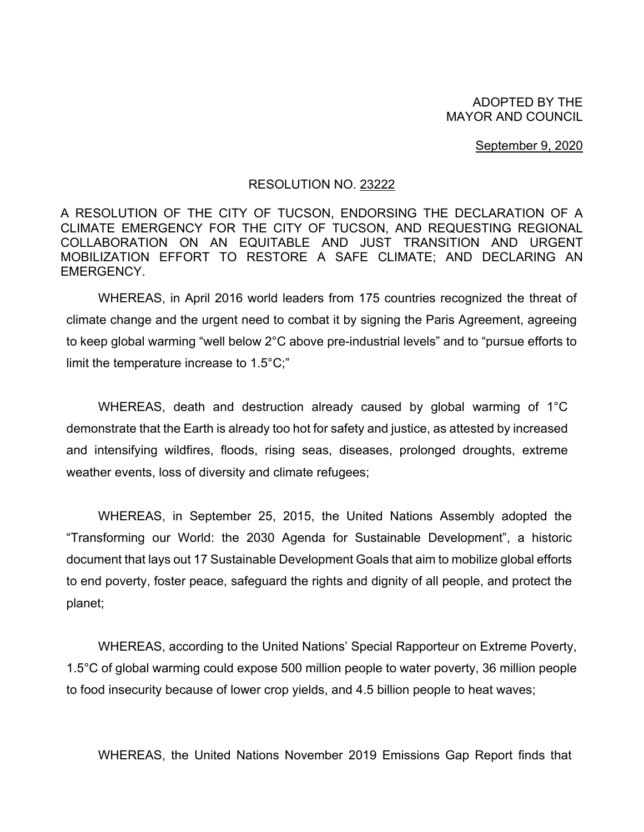ADOPTED BY THE MAYOR AND COUNCIL

September 9, 2020

## RESOLUTION NO. 23222

A RESOLUTION OF THE CITY OF TUCSON, ENDORSING THE DECLARATION OF A CLIMATE EMERGENCY FOR THE CITY OF TUCSON, AND REQUESTING REGIONAL COLLABORATION ON AN EQUITABLE AND JUST TRANSITION AND URGENT MOBILIZATION EFFORT TO RESTORE A SAFE CLIMATE; AND DECLARING AN EMERGENCY.

WHEREAS, in April 2016 world leaders from 175 countries recognized the threat of climate change and the urgent need to combat it by signing the Paris Agreement, agreeing to keep global warming "well below 2°C above pre-industrial levels" and to "pursue efforts to limit the temperature increase to 1.5°C;"

WHEREAS, death and destruction already caused by global warming of 1°C demonstrate that the Earth is already too hot for safety and justice, as attested by increased and intensifying wildfires, floods, rising seas, diseases, prolonged droughts, extreme weather events, loss of diversity and climate refugees;

WHEREAS, in September 25, 2015, the United Nations Assembly adopted the "Transforming our World: the 2030 Agenda for Sustainable Development", a historic document that lays out 17 Sustainable Development Goals that aim to mobilize global efforts to end poverty, foster peace, safeguard the rights and dignity of all people, and protect the planet;

WHEREAS, according to the United Nations' Special Rapporteur on Extreme Poverty, 1.5°C of global warming could expose 500 million people to water poverty, 36 million people to food insecurity because of lower crop yields, and 4.5 billion people to heat waves;

WHEREAS, the United Nations November 2019 Emissions Gap Report finds that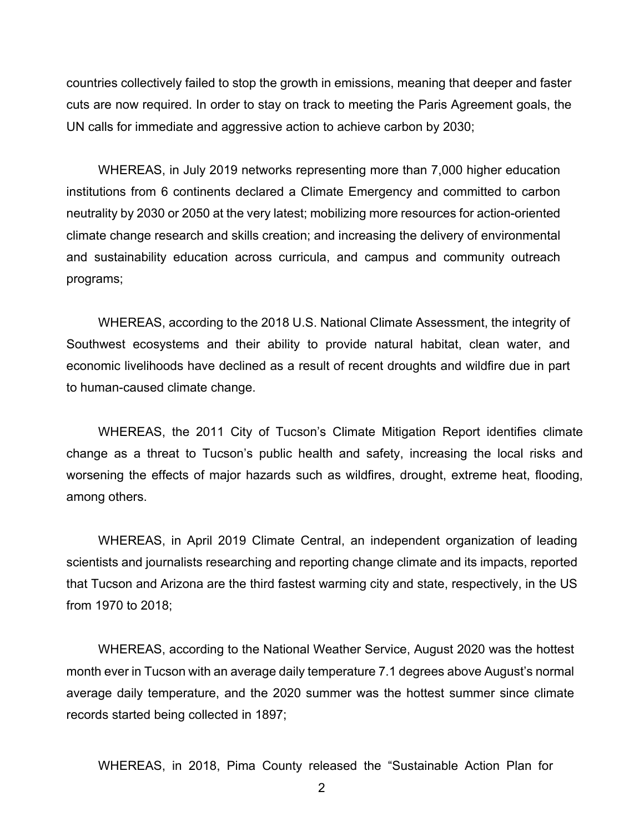countries collectively failed to stop the growth in emissions, meaning that deeper and faster cuts are now required. In order to stay on track to meeting the Paris Agreement goals, the UN calls for immediate and aggressive action to achieve carbon by 2030;

WHEREAS, in July 2019 networks representing more than 7,000 higher education institutions from 6 continents declared a Climate Emergency and committed to carbon neutrality by 2030 or 2050 at the very latest; mobilizing more resources for action-oriented climate change research and skills creation; and increasing the delivery of environmental and sustainability education across curricula, and campus and community outreach programs;

WHEREAS, according to the 2018 U.S. National Climate Assessment, the integrity of Southwest ecosystems and their ability to provide natural habitat, clean water, and economic livelihoods have declined as a result of recent droughts and wildfire due in part to human-caused climate change.

WHEREAS, the 2011 City of Tucson's Climate Mitigation Report identifies climate change as a threat to Tucson's public health and safety, increasing the local risks and worsening the effects of major hazards such as wildfires, drought, extreme heat, flooding, among others.

WHEREAS, in April 2019 Climate Central, an independent organization of leading scientists and journalists researching and reporting change climate and its impacts, reported that Tucson and Arizona are the third fastest warming city and state, respectively, in the US from 1970 to 2018;

WHEREAS, according to the National Weather Service, August 2020 was the hottest month ever in Tucson with an average daily temperature 7.1 degrees above August's normal average daily temperature, and the 2020 summer was the hottest summer since climate records started being collected in 1897;

WHEREAS, in 2018, Pima County released the "Sustainable Action Plan for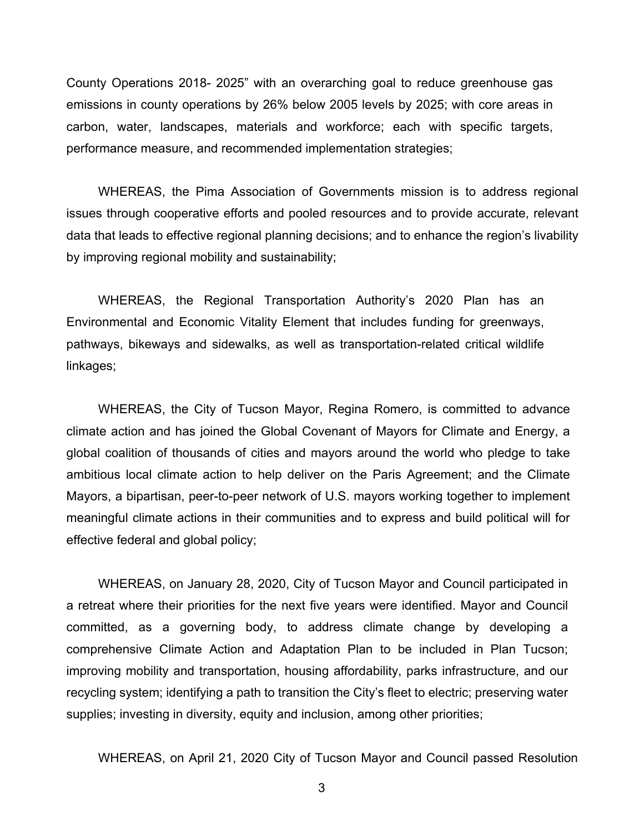County Operations 2018- 2025" with an overarching goal to reduce greenhouse gas emissions in county operations by 26% below 2005 levels by 2025; with core areas in carbon, water, landscapes, materials and workforce; each with specific targets, performance measure, and recommended implementation strategies;

WHEREAS, the Pima Association of Governments mission is to address regional issues through cooperative efforts and pooled resources and to provide accurate, relevant data that leads to effective regional planning decisions; and to enhance the region's livability by improving regional mobility and sustainability;

WHEREAS, the Regional Transportation Authority's 2020 Plan has an Environmental and Economic Vitality Element that includes funding for greenways, pathways, bikeways and sidewalks, as well as transportation-related critical wildlife linkages;

WHEREAS, the City of Tucson Mayor, Regina Romero, is committed to advance climate action and has joined the Global Covenant of Mayors for Climate and Energy, a global coalition of thousands of cities and mayors around the world who pledge to take ambitious local climate action to help deliver on the Paris Agreement; and the Climate Mayors, a bipartisan, peer-to-peer network of U.S. mayors working together to implement meaningful climate actions in their communities and to express and build political will for effective federal and global policy;

WHEREAS, on January 28, 2020, City of Tucson Mayor and Council participated in a retreat where their priorities for the next five years were identified. Mayor and Council committed, as a governing body, to address climate change by developing a comprehensive Climate Action and Adaptation Plan to be included in Plan Tucson; improving mobility and transportation, housing affordability, parks infrastructure, and our recycling system; identifying a path to transition the City's fleet to electric; preserving water supplies; investing in diversity, equity and inclusion, among other priorities;

WHEREAS, on April 21, 2020 City of Tucson Mayor and Council passed Resolution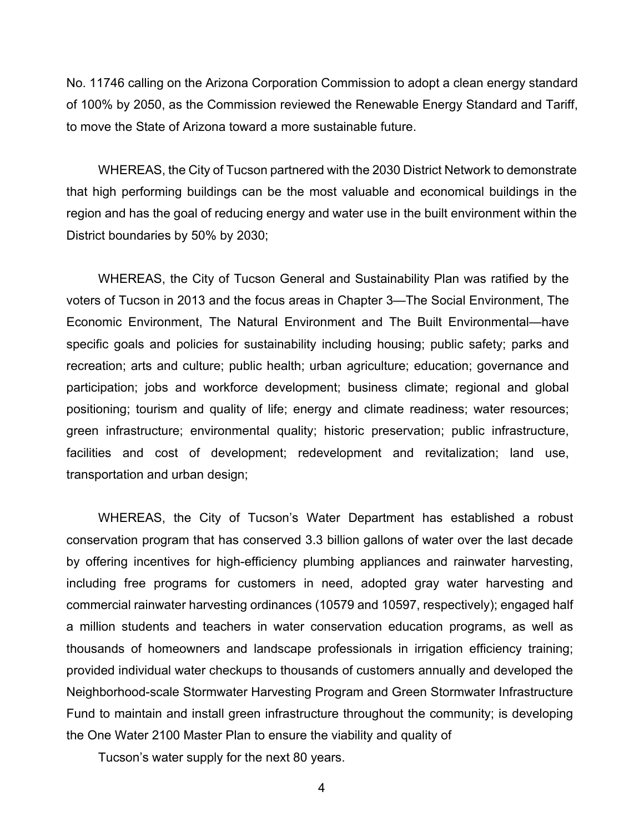No. 11746 calling on the Arizona Corporation Commission to adopt a clean energy standard of 100% by 2050, as the Commission reviewed the Renewable Energy Standard and Tariff, to move the State of Arizona toward a more sustainable future.

WHEREAS, the City of Tucson partnered with the 2030 District Network to demonstrate that high performing buildings can be the most valuable and economical buildings in the region and has the goal of reducing energy and water use in the built environment within the District boundaries by 50% by 2030;

WHEREAS, the City of Tucson General and Sustainability Plan was ratified by the voters of Tucson in 2013 and the focus areas in Chapter 3—The Social Environment, The Economic Environment, The Natural Environment and The Built Environmental—have specific goals and policies for sustainability including housing; public safety; parks and recreation; arts and culture; public health; urban agriculture; education; governance and participation; jobs and workforce development; business climate; regional and global positioning; tourism and quality of life; energy and climate readiness; water resources; green infrastructure; environmental quality; historic preservation; public infrastructure, facilities and cost of development; redevelopment and revitalization; land use, transportation and urban design;

WHEREAS, the City of Tucson's Water Department has established a robust conservation program that has conserved 3.3 billion gallons of water over the last decade by offering incentives for high-efficiency plumbing appliances and rainwater harvesting, including free programs for customers in need, adopted gray water harvesting and commercial rainwater harvesting ordinances (10579 and 10597, respectively); engaged half a million students and teachers in water conservation education programs, as well as thousands of homeowners and landscape professionals in irrigation efficiency training; provided individual water checkups to thousands of customers annually and developed the Neighborhood-scale Stormwater Harvesting Program and Green Stormwater Infrastructure Fund to maintain and install green infrastructure throughout the community; is developing the One Water 2100 Master Plan to ensure the viability and quality of

Tucson's water supply for the next 80 years.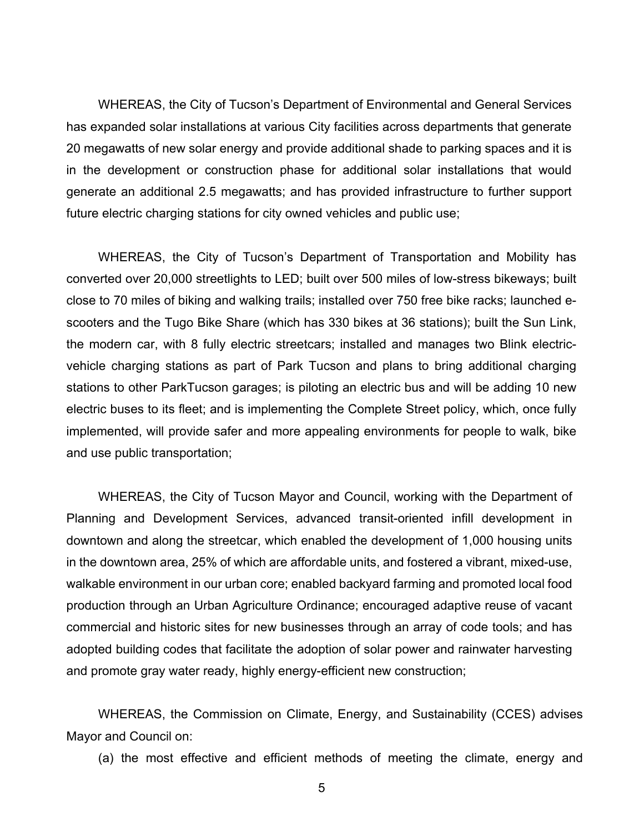WHEREAS, the City of Tucson's Department of Environmental and General Services has expanded solar installations at various City facilities across departments that generate 20 megawatts of new solar energy and provide additional shade to parking spaces and it is in the development or construction phase for additional solar installations that would generate an additional 2.5 megawatts; and has provided infrastructure to further support future electric charging stations for city owned vehicles and public use;

WHEREAS, the City of Tucson's Department of Transportation and Mobility has converted over 20,000 streetlights to LED; built over 500 miles of low-stress bikeways; built close to 70 miles of biking and walking trails; installed over 750 free bike racks; launched escooters and the Tugo Bike Share (which has 330 bikes at 36 stations); built the Sun Link, the modern car, with 8 fully electric streetcars; installed and manages two Blink electricvehicle charging stations as part of Park Tucson and plans to bring additional charging stations to other ParkTucson garages; is piloting an electric bus and will be adding 10 new electric buses to its fleet; and is implementing the Complete Street policy, which, once fully implemented, will provide safer and more appealing environments for people to walk, bike and use public transportation;

WHEREAS, the City of Tucson Mayor and Council, working with the Department of Planning and Development Services, advanced transit-oriented infill development in downtown and along the streetcar, which enabled the development of 1,000 housing units in the downtown area, 25% of which are affordable units, and fostered a vibrant, mixed-use, walkable environment in our urban core; enabled backyard farming and promoted local food production through an Urban Agriculture Ordinance; encouraged adaptive reuse of vacant commercial and historic sites for new businesses through an array of code tools; and has adopted building codes that facilitate the adoption of solar power and rainwater harvesting and promote gray water ready, highly energy-efficient new construction;

WHEREAS, the Commission on Climate, Energy, and Sustainability (CCES) advises Mayor and Council on:

(a) the most effective and efficient methods of meeting the climate, energy and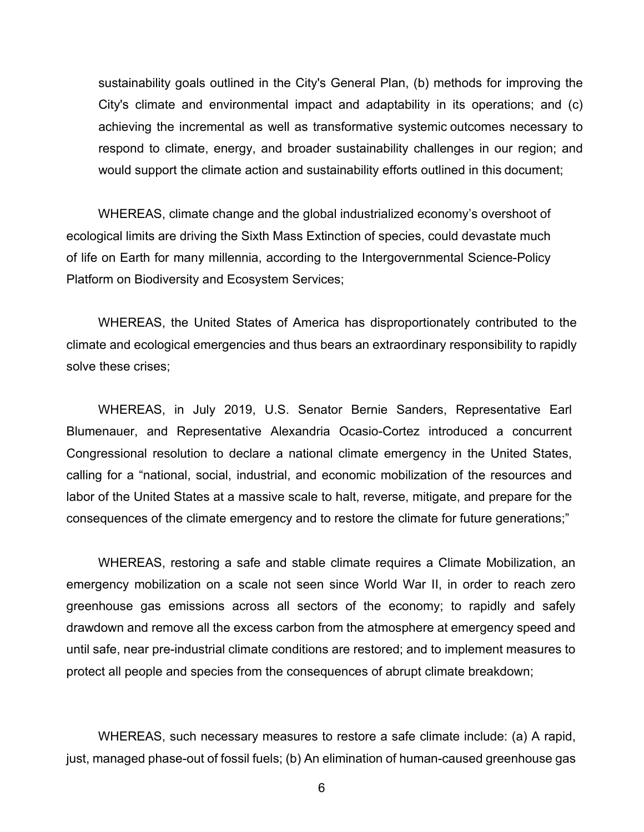sustainability goals outlined in the City's General Plan, (b) methods for improving the City's climate and environmental impact and adaptability in its operations; and (c) achieving the incremental as well as transformative systemic outcomes necessary to respond to climate, energy, and broader sustainability challenges in our region; and would support the climate action and sustainability efforts outlined in this document;

WHEREAS, climate change and the global industrialized economy's overshoot of ecological limits are driving the Sixth Mass Extinction of species, could devastate much of life on Earth for many millennia, according to the Intergovernmental Science-Policy Platform on Biodiversity and Ecosystem Services;

WHEREAS, the United States of America has disproportionately contributed to the climate and ecological emergencies and thus bears an extraordinary responsibility to rapidly solve these crises;

WHEREAS, in July 2019, U.S. Senator Bernie Sanders, Representative Earl Blumenauer, and Representative Alexandria Ocasio-Cortez introduced a concurrent Congressional resolution to declare a national climate emergency in the United States, calling for a "national, social, industrial, and economic mobilization of the resources and labor of the United States at a massive scale to halt, reverse, mitigate, and prepare for the consequences of the climate emergency and to restore the climate for future generations;"

WHEREAS, restoring a safe and stable climate requires a Climate Mobilization, an emergency mobilization on a scale not seen since World War II, in order to reach zero greenhouse gas emissions across all sectors of the economy; to rapidly and safely drawdown and remove all the excess carbon from the atmosphere at emergency speed and until safe, near pre-industrial climate conditions are restored; and to implement measures to protect all people and species from the consequences of abrupt climate breakdown;

WHEREAS, such necessary measures to restore a safe climate include: (a) A rapid, just, managed phase-out of fossil fuels; (b) An elimination of human-caused greenhouse gas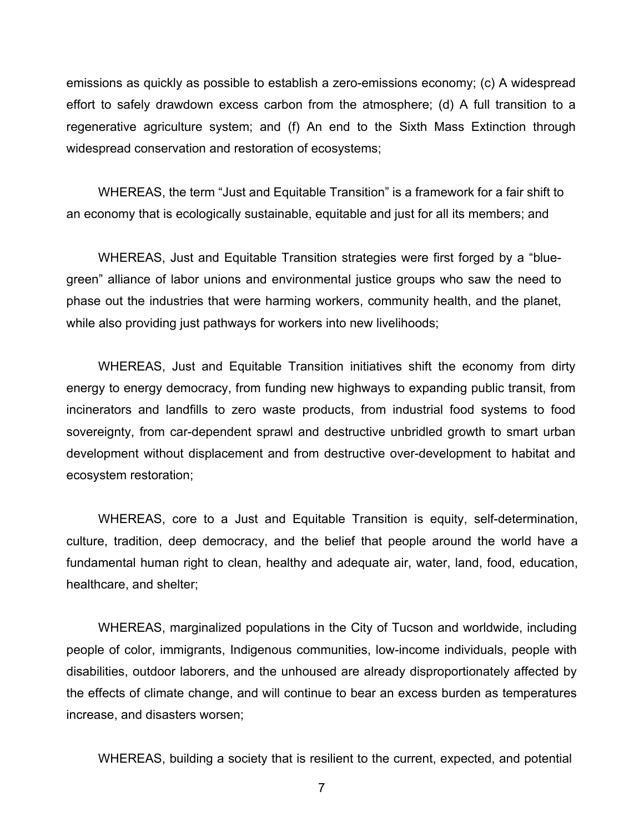emissions as quickly as possible to establish a zero-emissions economy; (c) A widespread effort to safely drawdown excess carbon from the atmosphere; (d) A full transition to a regenerative agriculture system; and (f) An end to the Sixth Mass Extinction through widespread conservation and restoration of ecosystems;

WHEREAS, the term "Just and Equitable Transition" is a framework for a fair shift to an economy that is ecologically sustainable, equitable and just for all its members; and

WHEREAS, Just and Equitable Transition strategies were first forged by a "bluegreen" alliance of labor unions and environmental justice groups who saw the need to phase out the industries that were harming workers, community health, and the planet, while also providing just pathways for workers into new livelihoods;

WHEREAS, Just and Equitable Transition initiatives shift the economy from dirty energy to energy democracy, from funding new highways to expanding public transit, from incinerators and landfills to zero waste products, from industrial food systems to food sovereignty, from car-dependent sprawl and destructive unbridled growth to smart urban development without displacement and from destructive over-development to habitat and ecosystem restoration;

WHEREAS, core to a Just and Equitable Transition is equity, self-determination, culture, tradition, deep democracy, and the belief that people around the world have a fundamental human right to clean, healthy and adequate air, water, land, food, education, healthcare, and shelter;

WHEREAS, marginalized populations in the City of Tucson and worldwide, including people of color, immigrants, Indigenous communities, low-income individuals, people with disabilities, outdoor laborers, and the unhoused are already disproportionately affected by the effects of climate change, and will continue to bear an excess burden as temperatures increase, and disasters worsen;

WHEREAS, building a society that is resilient to the current, expected, and potential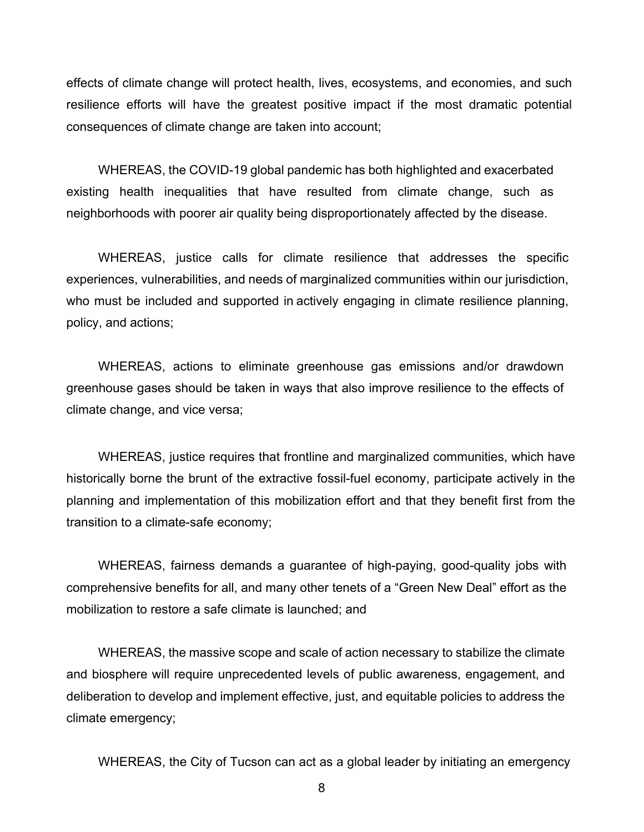effects of climate change will protect health, lives, ecosystems, and economies, and such resilience efforts will have the greatest positive impact if the most dramatic potential consequences of climate change are taken into account;

WHEREAS, the COVID-19 global pandemic has both highlighted and exacerbated existing health inequalities that have resulted from climate change, such as neighborhoods with poorer air quality being disproportionately affected by the disease.

WHEREAS, justice calls for climate resilience that addresses the specific experiences, vulnerabilities, and needs of marginalized communities within our jurisdiction, who must be included and supported in actively engaging in climate resilience planning, policy, and actions;

WHEREAS, actions to eliminate greenhouse gas emissions and/or drawdown greenhouse gases should be taken in ways that also improve resilience to the effects of climate change, and vice versa;

WHEREAS, justice requires that frontline and marginalized communities, which have historically borne the brunt of the extractive fossil-fuel economy, participate actively in the planning and implementation of this mobilization effort and that they benefit first from the transition to a climate-safe economy;

WHEREAS, fairness demands a guarantee of high-paying, good-quality jobs with comprehensive benefits for all, and many other tenets of a "Green New Deal" effort as the mobilization to restore a safe climate is launched; and

WHEREAS, the massive scope and scale of action necessary to stabilize the climate and biosphere will require unprecedented levels of public awareness, engagement, and deliberation to develop and implement effective, just, and equitable policies to address the climate emergency;

WHEREAS, the City of Tucson can act as a global leader by initiating an emergency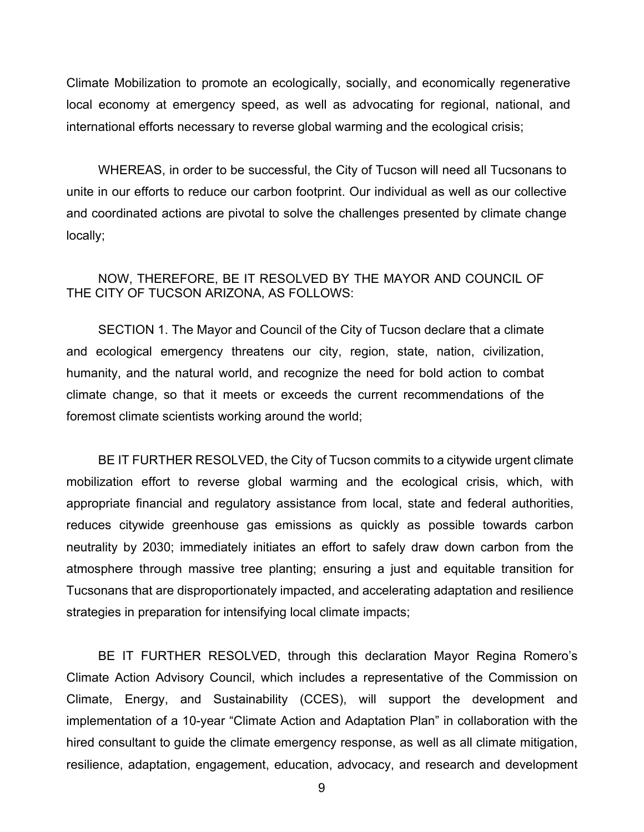Climate Mobilization to promote an ecologically, socially, and economically regenerative local economy at emergency speed, as well as advocating for regional, national, and international efforts necessary to reverse global warming and the ecological crisis;

WHEREAS, in order to be successful, the City of Tucson will need all Tucsonans to unite in our efforts to reduce our carbon footprint. Our individual as well as our collective and coordinated actions are pivotal to solve the challenges presented by climate change locally;

## NOW, THEREFORE, BE IT RESOLVED BY THE MAYOR AND COUNCIL OF THE CITY OF TUCSON ARIZONA, AS FOLLOWS:

SECTION 1. The Mayor and Council of the City of Tucson declare that a climate and ecological emergency threatens our city, region, state, nation, civilization, humanity, and the natural world, and recognize the need for bold action to combat climate change, so that it meets or exceeds the current recommendations of the foremost climate scientists working around the world;

BE IT FURTHER RESOLVED, the City of Tucson commits to a citywide urgent climate mobilization effort to reverse global warming and the ecological crisis, which, with appropriate financial and regulatory assistance from local, state and federal authorities, reduces citywide greenhouse gas emissions as quickly as possible towards carbon neutrality by 2030; immediately initiates an effort to safely draw down carbon from the atmosphere through massive tree planting; ensuring a just and equitable transition for Tucsonans that are disproportionately impacted, and accelerating adaptation and resilience strategies in preparation for intensifying local climate impacts;

BE IT FURTHER RESOLVED, through this declaration Mayor Regina Romero's Climate Action Advisory Council, which includes a representative of the Commission on Climate, Energy, and Sustainability (CCES), will support the development and implementation of a 10-year "Climate Action and Adaptation Plan" in collaboration with the hired consultant to guide the climate emergency response, as well as all climate mitigation, resilience, adaptation, engagement, education, advocacy, and research and development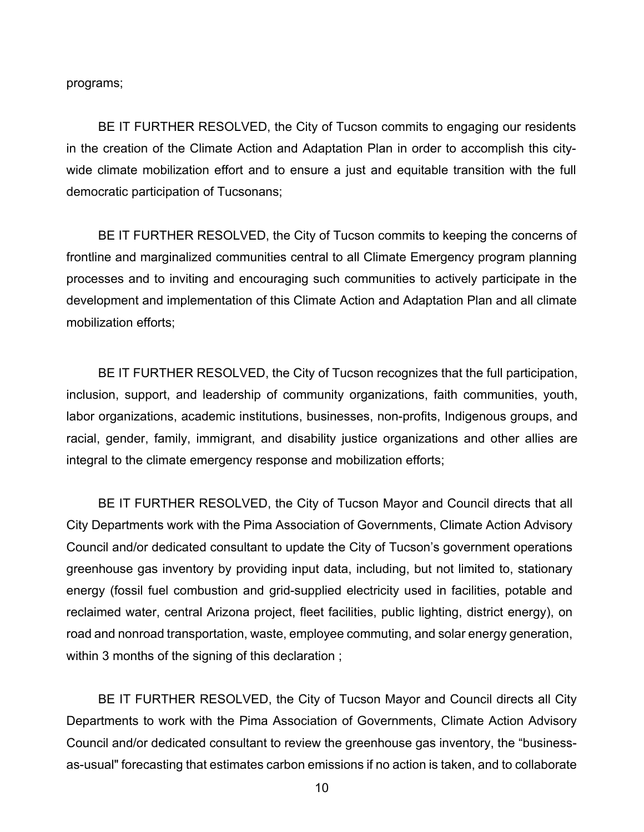programs;

BE IT FURTHER RESOLVED, the City of Tucson commits to engaging our residents in the creation of the Climate Action and Adaptation Plan in order to accomplish this citywide climate mobilization effort and to ensure a just and equitable transition with the full democratic participation of Tucsonans;

BE IT FURTHER RESOLVED, the City of Tucson commits to keeping the concerns of frontline and marginalized communities central to all Climate Emergency program planning processes and to inviting and encouraging such communities to actively participate in the development and implementation of this Climate Action and Adaptation Plan and all climate mobilization efforts;

BE IT FURTHER RESOLVED, the City of Tucson recognizes that the full participation, inclusion, support, and leadership of community organizations, faith communities, youth, labor organizations, academic institutions, businesses, non-profits, Indigenous groups, and racial, gender, family, immigrant, and disability justice organizations and other allies are integral to the climate emergency response and mobilization efforts;

BE IT FURTHER RESOLVED, the City of Tucson Mayor and Council directs that all City Departments work with the Pima Association of Governments, Climate Action Advisory Council and/or dedicated consultant to update the City of Tucson's government operations greenhouse gas inventory by providing input data, including, but not limited to, stationary energy (fossil fuel combustion and grid-supplied electricity used in facilities, potable and reclaimed water, central Arizona project, fleet facilities, public lighting, district energy), on road and nonroad transportation, waste, employee commuting, and solar energy generation, within 3 months of the signing of this declaration ;

BE IT FURTHER RESOLVED, the City of Tucson Mayor and Council directs all City Departments to work with the Pima Association of Governments, Climate Action Advisory Council and/or dedicated consultant to review the greenhouse gas inventory, the "businessas-usual" forecasting that estimates carbon emissions if no action is taken, and to collaborate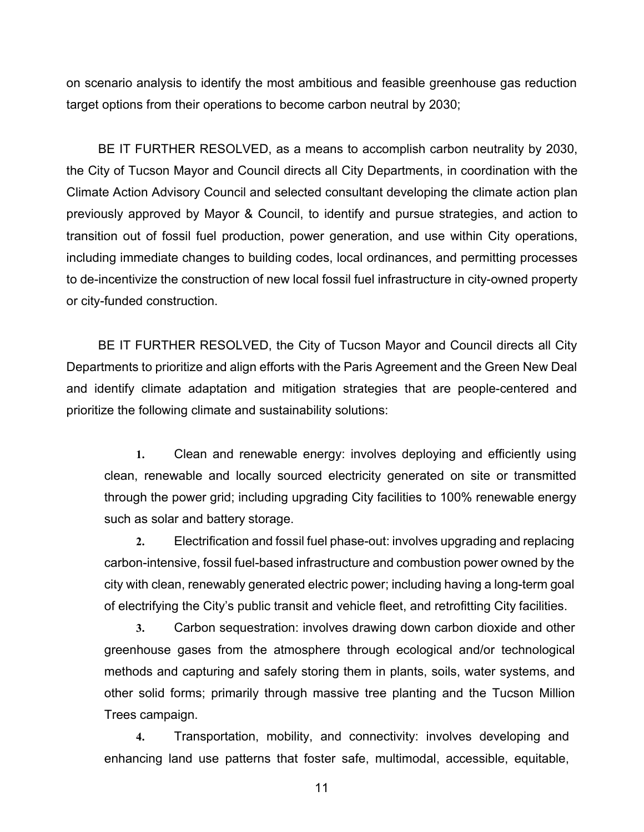on scenario analysis to identify the most ambitious and feasible greenhouse gas reduction target options from their operations to become carbon neutral by 2030;

BE IT FURTHER RESOLVED, as a means to accomplish carbon neutrality by 2030, the City of Tucson Mayor and Council directs all City Departments, in coordination with the Climate Action Advisory Council and selected consultant developing the climate action plan previously approved by Mayor & Council, to identify and pursue strategies, and action to transition out of fossil fuel production, power generation, and use within City operations, including immediate changes to building codes, local ordinances, and permitting processes to de-incentivize the construction of new local fossil fuel infrastructure in city-owned property or city-funded construction.

BE IT FURTHER RESOLVED, the City of Tucson Mayor and Council directs all City Departments to prioritize and align efforts with the Paris Agreement and the Green New Deal and identify climate adaptation and mitigation strategies that are people-centered and prioritize the following climate and sustainability solutions:

**1.** Clean and renewable energy: involves deploying and efficiently using clean, renewable and locally sourced electricity generated on site or transmitted through the power grid; including upgrading City facilities to 100% renewable energy such as solar and battery storage.

**2.** Electrification and fossil fuel phase-out: involves upgrading and replacing carbon-intensive, fossil fuel-based infrastructure and combustion power owned by the city with clean, renewably generated electric power; including having a long-term goal of electrifying the City's public transit and vehicle fleet, and retrofitting City facilities.

**3.** Carbon sequestration: involves drawing down carbon dioxide and other greenhouse gases from the atmosphere through ecological and/or technological methods and capturing and safely storing them in plants, soils, water systems, and other solid forms; primarily through massive tree planting and the Tucson Million Trees campaign.

**4.** Transportation, mobility, and connectivity: involves developing and enhancing land use patterns that foster safe, multimodal, accessible, equitable,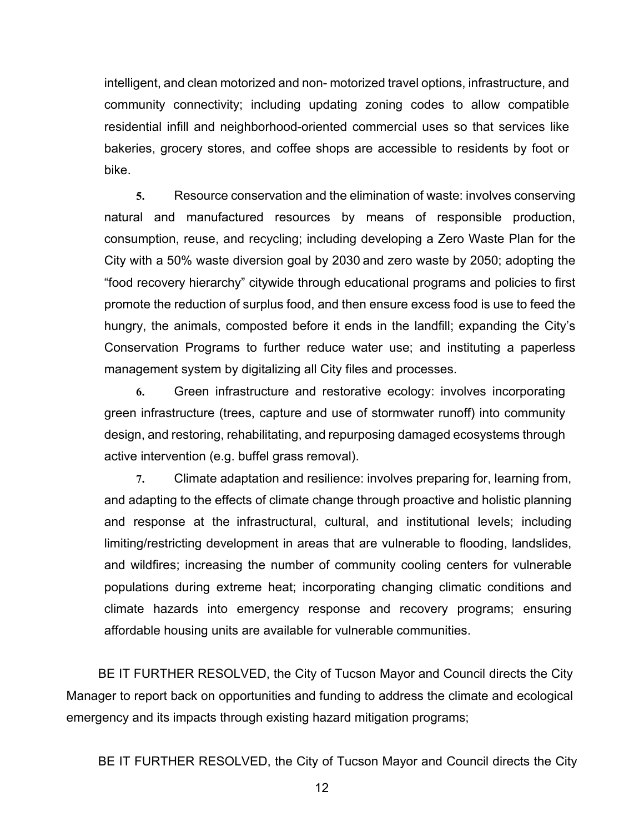intelligent, and clean motorized and non- motorized travel options, infrastructure, and community connectivity; including updating zoning codes to allow compatible residential infill and neighborhood-oriented commercial uses so that services like bakeries, grocery stores, and coffee shops are accessible to residents by foot or bike.

**5.** Resource conservation and the elimination of waste: involves conserving natural and manufactured resources by means of responsible production, consumption, reuse, and recycling; including developing a Zero Waste Plan for the City with a 50% waste diversion goal by 2030 and zero waste by 2050; adopting the "food recovery hierarchy" citywide through educational programs and policies to first promote the reduction of surplus food, and then ensure excess food is use to feed the hungry, the animals, composted before it ends in the landfill; expanding the City's Conservation Programs to further reduce water use; and instituting a paperless management system by digitalizing all City files and processes.

**6.** Green infrastructure and restorative ecology: involves incorporating green infrastructure (trees, capture and use of stormwater runoff) into community design, and restoring, rehabilitating, and repurposing damaged ecosystems through active intervention (e.g. buffel grass removal).

**7.** Climate adaptation and resilience: involves preparing for, learning from, and adapting to the effects of climate change through proactive and holistic planning and response at the infrastructural, cultural, and institutional levels; including limiting/restricting development in areas that are vulnerable to flooding, landslides, and wildfires; increasing the number of community cooling centers for vulnerable populations during extreme heat; incorporating changing climatic conditions and climate hazards into emergency response and recovery programs; ensuring affordable housing units are available for vulnerable communities.

BE IT FURTHER RESOLVED, the City of Tucson Mayor and Council directs the City Manager to report back on opportunities and funding to address the climate and ecological emergency and its impacts through existing hazard mitigation programs;

BE IT FURTHER RESOLVED, the City of Tucson Mayor and Council directs the City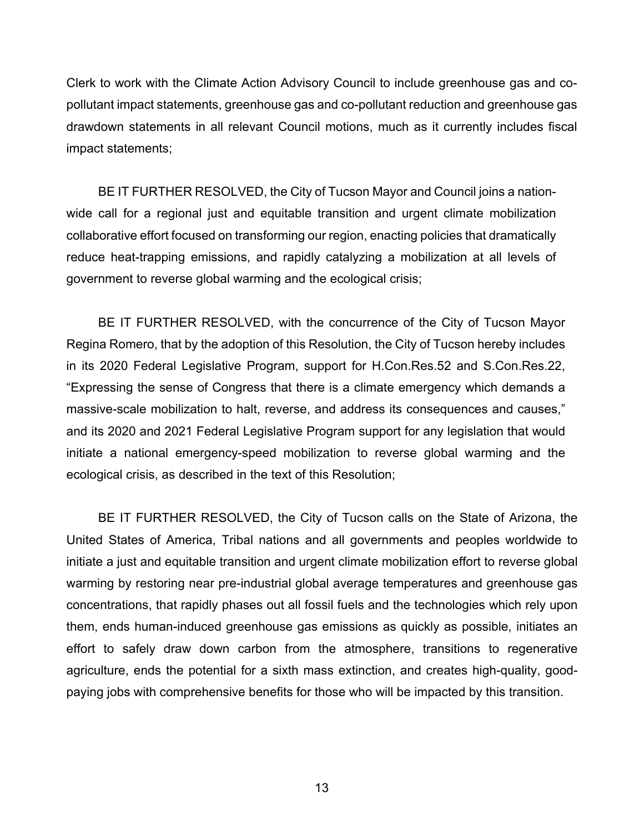Clerk to work with the Climate Action Advisory Council to include greenhouse gas and copollutant impact statements, greenhouse gas and co-pollutant reduction and greenhouse gas drawdown statements in all relevant Council motions, much as it currently includes fiscal impact statements;

BE IT FURTHER RESOLVED, the City of Tucson Mayor and Council joins a nationwide call for a regional just and equitable transition and urgent climate mobilization collaborative effort focused on transforming our region, enacting policies that dramatically reduce heat-trapping emissions, and rapidly catalyzing a mobilization at all levels of government to reverse global warming and the ecological crisis;

BE IT FURTHER RESOLVED, with the concurrence of the City of Tucson Mayor Regina Romero, that by the adoption of this Resolution, the City of Tucson hereby includes in its 2020 Federal Legislative Program, support for H.Con.Res.52 and S.Con.Res.22, "Expressing the sense of Congress that there is a climate emergency which demands a massive-scale mobilization to halt, reverse, and address its consequences and causes," and its 2020 and 2021 Federal Legislative Program support for any legislation that would initiate a national emergency-speed mobilization to reverse global warming and the ecological crisis, as described in the text of this Resolution;

BE IT FURTHER RESOLVED, the City of Tucson calls on the State of Arizona, the United States of America, Tribal nations and all governments and peoples worldwide to initiate a just and equitable transition and urgent climate mobilization effort to reverse global warming by restoring near pre-industrial global average temperatures and greenhouse gas concentrations, that rapidly phases out all fossil fuels and the technologies which rely upon them, ends human-induced greenhouse gas emissions as quickly as possible, initiates an effort to safely draw down carbon from the atmosphere, transitions to regenerative agriculture, ends the potential for a sixth mass extinction, and creates high-quality, goodpaying jobs with comprehensive benefits for those who will be impacted by this transition.